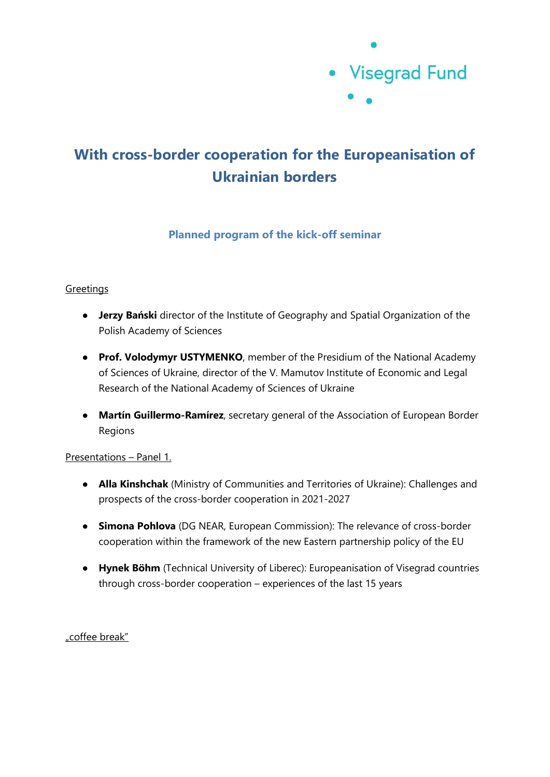

# **With cross-border cooperation for the Europeanisation of Ukrainian borders**

## **Planned program of the kick-off seminar**

### **Greetings**

- **Jerzy Bański** director of the Institute of Geography and Spatial Organization of the Polish Academy of Sciences
- **Prof. Volodymyr USTYMENKO**, member of the Presidium of the National Academy of Sciences of Ukraine, director of the V. Mamutov Institute of Economic and Legal Research of the National Academy of Sciences of Ukraine
- **Martín Guillermo-Ramírez**, secretary general of the Association of European Border Regions

#### Presentations – Panel 1.

- **Alla Kinshchak** (Ministry of Communities and Territories of Ukraine): Challenges and prospects of the cross-border cooperation in 2021-2027
- **Simona Pohlova** (DG NEAR, European Commission): The relevance of cross-border cooperation within the framework of the new Eastern partnership policy of the EU
- **Hynek Böhm** (Technical University of Liberec): Europeanisation of Visegrad countries through cross-border cooperation – experiences of the last 15 years

"coffee break"